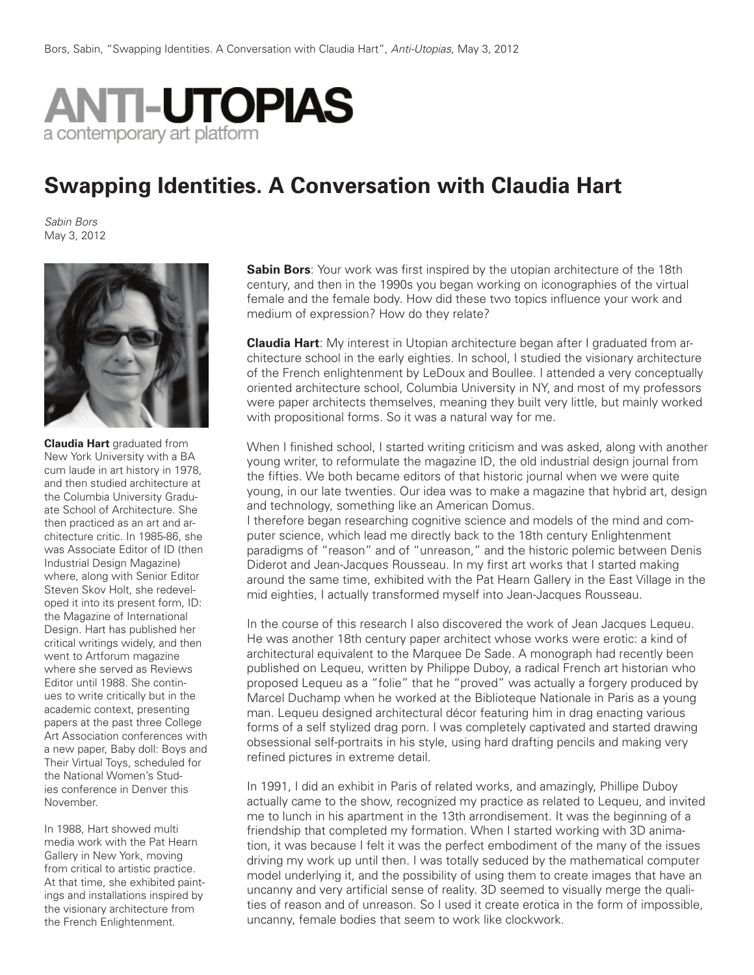

## **Swapping Identities. A Conversation with Claudia Hart**

*Sabin Bors* May 3, 2012



**Claudia Hart** graduated from New York University with a BA cum laude in art history in 1978, and then studied architecture at the Columbia University Graduate School of Architecture. She then practiced as an art and architecture critic. In 1985-86, she was Associate Editor of ID (then Industrial Design Magazine) where, along with Senior Editor Steven Skov Holt, she redeveloped it into its present form, ID: the Magazine of International Design. Hart has published her critical writings widely, and then went to Artforum magazine where she served as Reviews Editor until 1988. She continues to write critically but in the academic context, presenting papers at the past three College Art Association conferences with a new paper, Baby doll: Boys and Their Virtual Toys, scheduled for the National Women's Studies conference in Denver this November.

In 1988, Hart showed multi media work with the Pat Hearn Gallery in New York, moving from critical to artistic practice. At that time, she exhibited paintings and installations inspired by the visionary architecture from the French Enlightenment.

**Sabin Bors**: Your work was first inspired by the utopian architecture of the 18th century, and then in the 1990s you began working on iconographies of the virtual female and the female body. How did these two topics influence your work and medium of expression? How do they relate?

**Claudia Hart**: My interest in Utopian architecture began after I graduated from architecture school in the early eighties. In school, I studied the visionary architecture of the French enlightenment by LeDoux and Boullee. I attended a very conceptually oriented architecture school, Columbia University in NY, and most of my professors were paper architects themselves, meaning they built very little, but mainly worked with propositional forms. So it was a natural way for me.

When I finished school, I started writing criticism and was asked, along with another young writer, to reformulate the magazine ID, the old industrial design journal from the fifties. We both became editors of that historic journal when we were quite young, in our late twenties. Our idea was to make a magazine that hybrid art, design and technology, something like an American Domus.

I therefore began researching cognitive science and models of the mind and computer science, which lead me directly back to the 18th century Enlightenment paradigms of "reason" and of "unreason," and the historic polemic between Denis Diderot and Jean-Jacques Rousseau. In my first art works that I started making around the same time, exhibited with the Pat Hearn Gallery in the East Village in the mid eighties, I actually transformed myself into Jean-Jacques Rousseau.

In the course of this research I also discovered the work of Jean Jacques Lequeu. He was another 18th century paper architect whose works were erotic: a kind of architectural equivalent to the Marquee De Sade. A monograph had recently been published on Lequeu, written by Philippe Duboy, a radical French art historian who proposed Lequeu as a "folie" that he "proved" was actually a forgery produced by Marcel Duchamp when he worked at the Biblioteque Nationale in Paris as a young man. Lequeu designed architectural décor featuring him in drag enacting various forms of a self stylized drag porn. I was completely captivated and started drawing obsessional self-portraits in his style, using hard drafting pencils and making very refined pictures in extreme detail.

In 1991, I did an exhibit in Paris of related works, and amazingly, Phillipe Duboy actually came to the show, recognized my practice as related to Lequeu, and invited me to lunch in his apartment in the 13th arrondisement. It was the beginning of a friendship that completed my formation. When I started working with 3D animation, it was because I felt it was the perfect embodiment of the many of the issues driving my work up until then. I was totally seduced by the mathematical computer model underlying it, and the possibility of using them to create images that have an uncanny and very artificial sense of reality. 3D seemed to visually merge the qualities of reason and of unreason. So I used it create erotica in the form of impossible, uncanny, female bodies that seem to work like clockwork.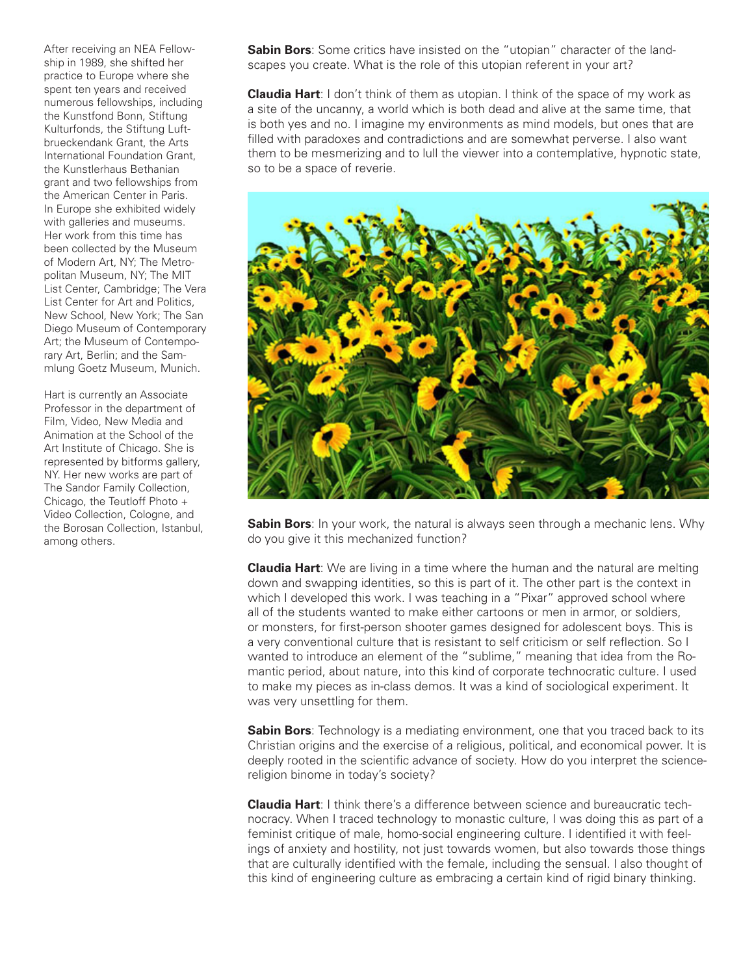After receiving an NEA Fellowship in 1989, she shifted her practice to Europe where she spent ten years and received numerous fellowships, including the Kunstfond Bonn, Stiftung Kulturfonds, the Stiftung Luftbrueckendank Grant, the Arts International Foundation Grant, the Kunstlerhaus Bethanian grant and two fellowships from the American Center in Paris. In Europe she exhibited widely with galleries and museums. Her work from this time has been collected by the Museum of Modern Art, NY; The Metropolitan Museum, NY; The MIT List Center, Cambridge; The Vera List Center for Art and Politics, New School, New York; The San Diego Museum of Contemporary Art; the Museum of Contemporary Art, Berlin; and the Sammlung Goetz Museum, Munich.

Hart is currently an Associate Professor in the department of Film, Video, New Media and Animation at the School of the Art Institute of Chicago. She is represented by bitforms gallery, NY. Her new works are part of The Sandor Family Collection, Chicago, the Teutloff Photo + Video Collection, Cologne, and the Borosan Collection, Istanbul, among others.

**Sabin Bors**: Some critics have insisted on the "utopian" character of the landscapes you create. What is the role of this utopian referent in your art?

**Claudia Hart**: I don't think of them as utopian. I think of the space of my work as a site of the uncanny, a world which is both dead and alive at the same time, that is both yes and no. I imagine my environments as mind models, but ones that are filled with paradoxes and contradictions and are somewhat perverse. I also want them to be mesmerizing and to lull the viewer into a contemplative, hypnotic state, so to be a space of reverie.



**Sabin Bors**: In your work, the natural is always seen through a mechanic lens. Why do you give it this mechanized function?

**Claudia Hart**: We are living in a time where the human and the natural are melting down and swapping identities, so this is part of it. The other part is the context in which I developed this work. I was teaching in a "Pixar" approved school where all of the students wanted to make either cartoons or men in armor, or soldiers, or monsters, for first-person shooter games designed for adolescent boys. This is a very conventional culture that is resistant to self criticism or self reflection. So I wanted to introduce an element of the "sublime," meaning that idea from the Romantic period, about nature, into this kind of corporate technocratic culture. I used to make my pieces as in-class demos. It was a kind of sociological experiment. It was very unsettling for them.

**Sabin Bors**: Technology is a mediating environment, one that you traced back to its Christian origins and the exercise of a religious, political, and economical power. It is deeply rooted in the scientific advance of society. How do you interpret the sciencereligion binome in today's society?

**Claudia Hart**: I think there's a difference between science and bureaucratic technocracy. When I traced technology to monastic culture, I was doing this as part of a feminist critique of male, homo-social engineering culture. I identified it with feelings of anxiety and hostility, not just towards women, but also towards those things that are culturally identified with the female, including the sensual. I also thought of this kind of engineering culture as embracing a certain kind of rigid binary thinking.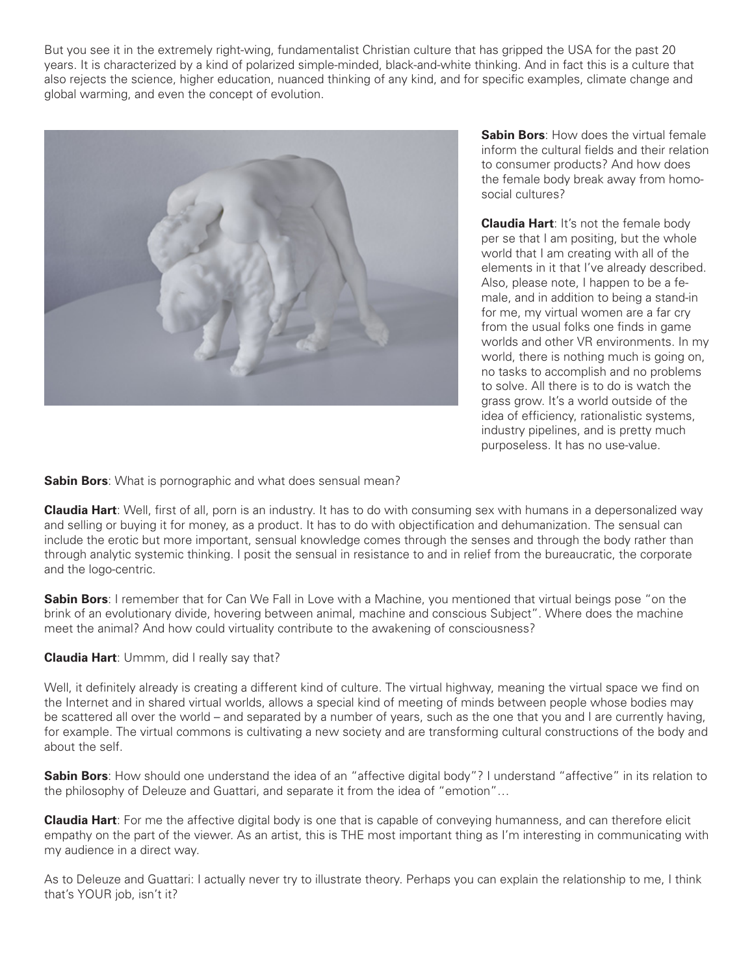But you see it in the extremely right-wing, fundamentalist Christian culture that has gripped the USA for the past 20 years. It is characterized by a kind of polarized simple-minded, black-and-white thinking. And in fact this is a culture that also rejects the science, higher education, nuanced thinking of any kind, and for specific examples, climate change and global warming, and even the concept of evolution.



**Sabin Bors**: How does the virtual female inform the cultural fields and their relation to consumer products? And how does the female body break away from homosocial cultures?

**Claudia Hart**: It's not the female body per se that I am positing, but the whole world that I am creating with all of the elements in it that I've already described. Also, please note, I happen to be a female, and in addition to being a stand-in for me, my virtual women are a far cry from the usual folks one finds in game worlds and other VR environments. In my world, there is nothing much is going on, no tasks to accomplish and no problems to solve. All there is to do is watch the grass grow. It's a world outside of the idea of efficiency, rationalistic systems, industry pipelines, and is pretty much purposeless. It has no use-value.

**Sabin Bors**: What is pornographic and what does sensual mean?

**Claudia Hart**: Well, first of all, porn is an industry. It has to do with consuming sex with humans in a depersonalized way and selling or buying it for money, as a product. It has to do with objectification and dehumanization. The sensual can include the erotic but more important, sensual knowledge comes through the senses and through the body rather than through analytic systemic thinking. I posit the sensual in resistance to and in relief from the bureaucratic, the corporate and the logo-centric.

**Sabin Bors**: I remember that for Can We Fall in Love with a Machine, you mentioned that virtual beings pose "on the brink of an evolutionary divide, hovering between animal, machine and conscious Subject". Where does the machine meet the animal? And how could virtuality contribute to the awakening of consciousness?

**Claudia Hart**: Ummm, did I really say that?

Well, it definitely already is creating a different kind of culture. The virtual highway, meaning the virtual space we find on the Internet and in shared virtual worlds, allows a special kind of meeting of minds between people whose bodies may be scattered all over the world – and separated by a number of years, such as the one that you and I are currently having, for example. The virtual commons is cultivating a new society and are transforming cultural constructions of the body and about the self.

**Sabin Bors**: How should one understand the idea of an "affective digital body"? I understand "affective" in its relation to the philosophy of Deleuze and Guattari, and separate it from the idea of "emotion"…

**Claudia Hart**: For me the affective digital body is one that is capable of conveying humanness, and can therefore elicit empathy on the part of the viewer. As an artist, this is THE most important thing as I'm interesting in communicating with my audience in a direct way.

As to Deleuze and Guattari: I actually never try to illustrate theory. Perhaps you can explain the relationship to me, I think that's YOUR job, isn't it?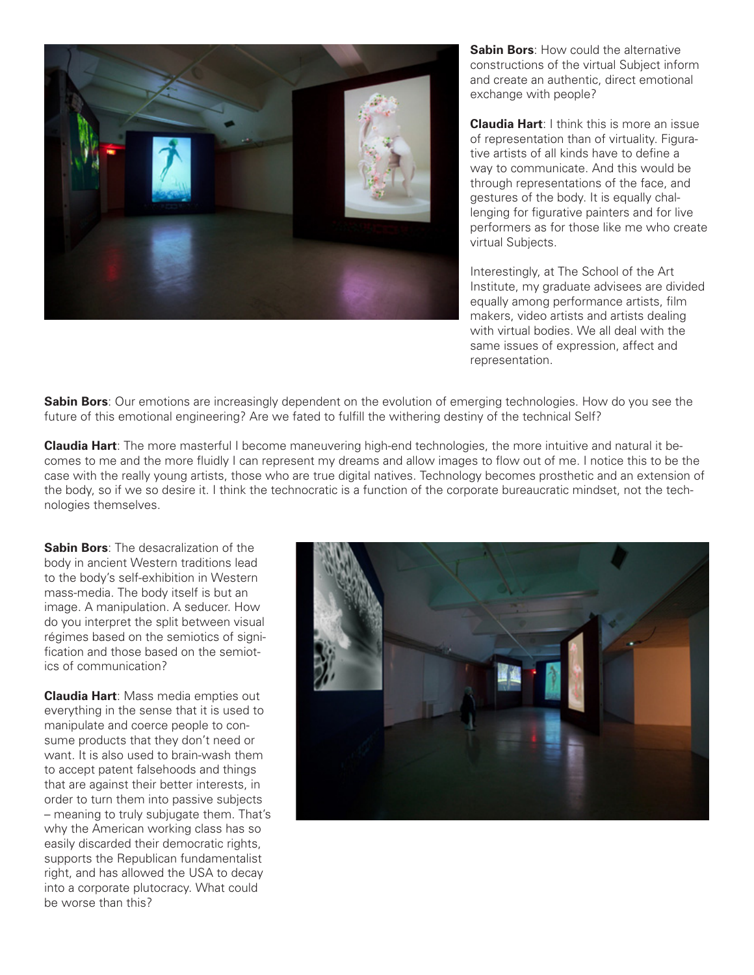

**Sabin Bors:** How could the alternative constructions of the virtual Subject inform and create an authentic, direct emotional exchange with people?

**Claudia Hart**: I think this is more an issue of representation than of virtuality. Figurative artists of all kinds have to define a way to communicate. And this would be through representations of the face, and gestures of the body. It is equally challenging for figurative painters and for live performers as for those like me who create virtual Subjects.

Interestingly, at The School of the Art Institute, my graduate advisees are divided equally among performance artists, film makers, video artists and artists dealing with virtual bodies. We all deal with the same issues of expression, affect and representation.

**Sabin Bors**: Our emotions are increasingly dependent on the evolution of emerging technologies. How do you see the future of this emotional engineering? Are we fated to fulfill the withering destiny of the technical Self?

**Claudia Hart**: The more masterful I become maneuvering high-end technologies, the more intuitive and natural it becomes to me and the more fluidly I can represent my dreams and allow images to flow out of me. I notice this to be the case with the really young artists, those who are true digital natives. Technology becomes prosthetic and an extension of the body, so if we so desire it. I think the technocratic is a function of the corporate bureaucratic mindset, not the technologies themselves.

**Sabin Bors**: The desacralization of the body in ancient Western traditions lead to the body's self-exhibition in Western mass-media. The body itself is but an image. A manipulation. A seducer. How do you interpret the split between visual régimes based on the semiotics of signification and those based on the semiotics of communication?

**Claudia Hart**: Mass media empties out everything in the sense that it is used to manipulate and coerce people to consume products that they don't need or want. It is also used to brain-wash them to accept patent falsehoods and things that are against their better interests, in order to turn them into passive subjects – meaning to truly subjugate them. That's why the American working class has so easily discarded their democratic rights, supports the Republican fundamentalist right, and has allowed the USA to decay into a corporate plutocracy. What could be worse than this?